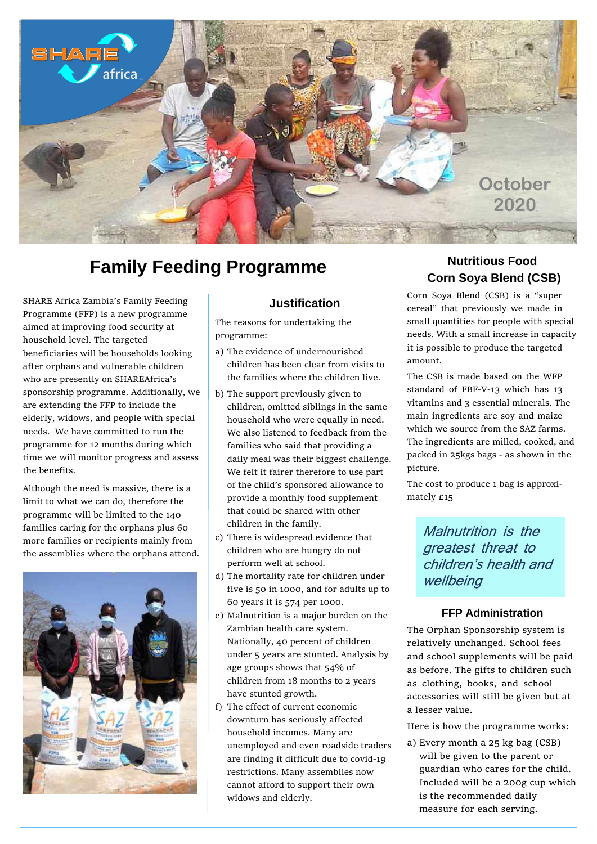

# **Family Feeding Programme**

SHARE Africa Zambia's Family Feeding Programme (FFP) is a new programme aimed at improving food security at household level. The targeted beneficiaries will be households looking after orphans and vulnerable children who are presently on SHAREAfrica's sponsorship programme. Additionally, we are extending the FFP to include the elderly, widows, and people with special needs. We have committed to run the programme for 12 months during which time we will monitor progress and assess the benefits.

Although the need is massive, there is a limit to what we can do, therefore the programme will be limited to the 140 families caring for the orphans plus 60 more families or recipients mainly from the assemblies where the orphans attend.



## **Justification**

The reasons for undertaking the programme:

- a) The evidence of undernourished children has been clear from visits to the families where the children live.
- b) The support previously given to children, omitted siblings in the same household who were equally in need. We also listened to feedback from the families who said that providing a daily meal was their biggest challenge. We felt it fairer therefore to use part of the child's sponsored allowance to provide a monthly food supplement that could be shared with other children in the family.
- c) There is widespread evidence that children who are hungry do not perform well at school.
- d) The mortality rate for children under five is 50 in 1000, and for adults up to 60 years it is 574 per 1000.
- e) Malnutrition is a major burden on the Zambian health care system. Nationally, 40 percent of children under 5 years are stunted. Analysis by age groups shows that 54% of children from 18 months to 2 years have stunted growth.
- f) The effect of current economic downturn has seriously affected household incomes. Many are unemployed and even roadside traders are finding it difficult due to covid-19 restrictions. Many assemblies now cannot afford to support their own widows and elderly.

## **Nutritious Food Corn Soya Blend (CSB)**

Corn Soya Blend (CSB) is a "super cereal" that previously we made in small quantities for people with special needs. With a small increase in capacity it is possible to produce the targeted amount.

The CSB is made based on the WFP standard of FBF-V-13 which has 13 vitamins and 3 essential minerals. The main ingredients are soy and maize which we source from the SAZ farms. The ingredients are milled, cooked, and packed in 25kgs bags - as shown in the picture.

The cost to produce 1 bag is approximately £15

> Malnutrition is the greatest threat to children's health and wellbeing

#### **FFP Administration**

The Orphan Sponsorship system is relatively unchanged. School fees and school supplements will be paid as before. The gifts to children such as clothing, books, and school accessories will still be given but at a lesser value.

Here is how the programme works:

a) Every month a 25 kg bag (CSB) will be given to the parent or guardian who cares for the child. Included will be a 200g cup which is the recommended daily measure for each serving.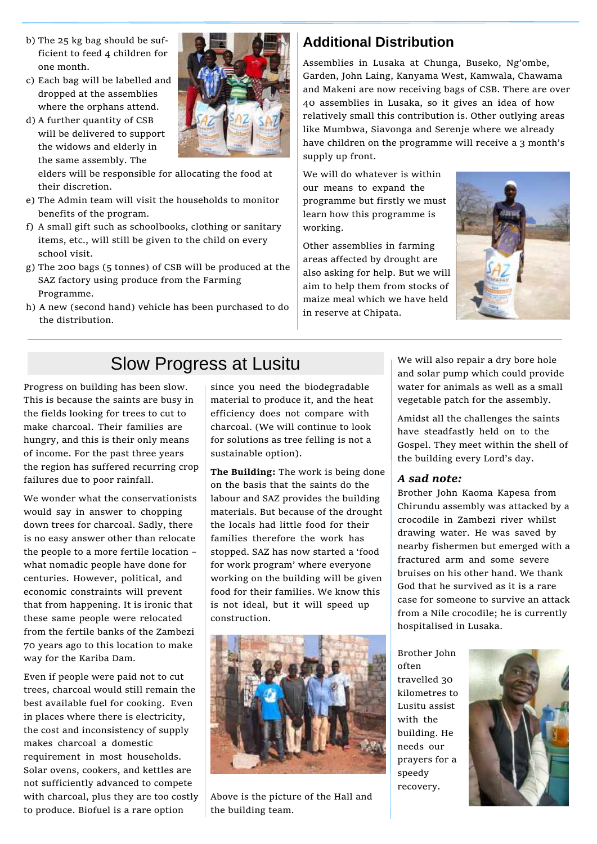- b) The 25 kg bag should be sufficient to feed 4 children for one month.
- c) Each bag will be labelled and dropped at the assemblies where the orphans attend.
- d) A further quantity of CSB will be delivered to support the widows and elderly in the same assembly. The

elders will be responsible for allocating the food at their discretion.

- e) The Admin team will visit the households to monitor benefits of the program.
- f) A small gift such as schoolbooks, clothing or sanitary items, etc., will still be given to the child on every school visit.
- g) The 200 bags (5 tonnes) of CSB will be produced at the SAZ factory using produce from the Farming Programme.
- h) A new (second hand) vehicle has been purchased to do the distribution.

## **Additional Distribution**

Assemblies in Lusaka at Chunga, Buseko, Ng'ombe, Garden, John Laing, Kanyama West, Kamwala, Chawama and Makeni are now receiving bags of CSB. There are over 40 assemblies in Lusaka, so it gives an idea of how relatively small this contribution is. Other outlying areas like Mumbwa, Siavonga and Serenje where we already have children on the programme will receive a 3 month's supply up front.

We will do whatever is within our means to expand the programme but firstly we must learn how this programme is working.

Other assemblies in farming areas affected by drought are also asking for help. But we will aim to help them from stocks of maize meal which we have held in reserve at Chipata.



# Slow Progress at Lusitu

Progress on building has been slow. This is because the saints are busy in the fields looking for trees to cut to make charcoal. Their families are hungry, and this is their only means of income. For the past three years the region has suffered recurring crop failures due to poor rainfall.

We wonder what the conservationists would say in answer to chopping down trees for charcoal. Sadly, there is no easy answer other than relocate the people to a more fertile location – what nomadic people have done for centuries. However, political, and economic constraints will prevent that from happening. It is ironic that these same people were relocated from the fertile banks of the Zambezi 70 years ago to this location to make way for the Kariba Dam.

Even if people were paid not to cut trees, charcoal would still remain the best available fuel for cooking. Even in places where there is electricity, the cost and inconsistency of supply makes charcoal a domestic requirement in most households. Solar ovens, cookers, and kettles are not sufficiently advanced to compete with charcoal, plus they are too costly to produce. Biofuel is a rare option

since you need the biodegradable material to produce it, and the heat efficiency does not compare with charcoal. (We will continue to look for solutions as tree felling is not a sustainable option).

**The Building:** The work is being done on the basis that the saints do the labour and SAZ provides the building materials. But because of the drought the locals had little food for their families therefore the work has stopped. SAZ has now started a 'food for work program' where everyone working on the building will be given food for their families. We know this is not ideal, but it will speed up construction.



Above is the picture of the Hall and the building team.

We will also repair a dry bore hole and solar pump which could provide water for animals as well as a small vegetable patch for the assembly.

Amidst all the challenges the saints have steadfastly held on to the Gospel. They meet within the shell of the building every Lord's day.

#### *A sad note:*

Brother John Kaoma Kapesa from Chirundu assembly was attacked by a crocodile in Zambezi river whilst drawing water. He was saved by nearby fishermen but emerged with a fractured arm and some severe bruises on his other hand. We thank God that he survived as it is a rare case for someone to survive an attack from a Nile crocodile; he is currently hospitalised in Lusaka.

Brother John often travelled 30 kilometres to Lusitu assist with the building. He needs our prayers for a speedy recovery.

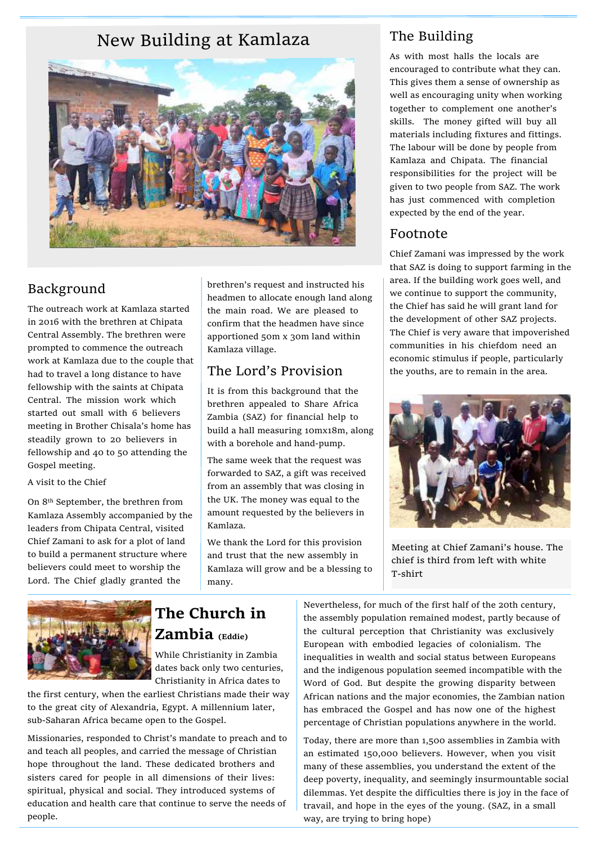# New Building at Kamlaza The Building



### Background

The outreach work at Kamlaza started in 2016 with the brethren at Chipata Central Assembly. The brethren were prompted to commence the outreach work at Kamlaza due to the couple that had to travel a long distance to have fellowship with the saints at Chipata Central. The mission work which started out small with 6 believers meeting in Brother Chisala's home has steadily grown to 20 believers in fellowship and 40 to 50 attending the Gospel meeting.

#### A visit to the Chief

On 8th September, the brethren from Kamlaza Assembly accompanied by the leaders from Chipata Central, visited Chief Zamani to ask for a plot of land to build a permanent structure where believers could meet to worship the Lord. The Chief gladly granted the

brethren's request and instructed his headmen to allocate enough land along the main road. We are pleased to confirm that the headmen have since apportioned 50m x 30m land within Kamlaza village.

## The Lord's Provision

It is from this background that the brethren appealed to Share Africa Zambia (SAZ) for financial help to build a hall measuring 10mx18m, along with a borehole and hand-pump.

The same week that the request was forwarded to SAZ, a gift was received from an assembly that was closing in the UK. The money was equal to the amount requested by the believers in Kamlaza.

We thank the Lord for this provision and trust that the new assembly in Kamlaza will grow and be a blessing to many.

As with most halls the locals are encouraged to contribute what they can. This gives them a sense of ownership as well as encouraging unity when working together to complement one another's skills. The money gifted will buy all materials including fixtures and fittings. The labour will be done by people from Kamlaza and Chipata. The financial responsibilities for the project will be given to two people from SAZ. The work has just commenced with completion expected by the end of the year.

#### Footnote

Chief Zamani was impressed by the work that SAZ is doing to support farming in the area. If the building work goes well, and we continue to support the community, the Chief has said he will grant land for the development of other SAZ projects. The Chief is very aware that impoverished communities in his chiefdom need an economic stimulus if people, particularly the youths, are to remain in the area.



Meeting at Chief Zamani's house. The chief is third from left with white T-shirt



# **The Church in Zambia (Eddie)**

While Christianity in Zambia dates back only two centuries, Christianity in Africa dates to

the first century, when the earliest Christians made their way to the great city of Alexandria, Egypt. A millennium later, sub-Saharan Africa became open to the Gospel.

Missionaries, responded to Christ's mandate to preach and to and teach all peoples, and carried the message of Christian hope throughout the land. These dedicated brothers and sisters cared for people in all dimensions of their lives: spiritual, physical and social. They introduced systems of education and health care that continue to serve the needs of people.

Nevertheless, for much of the first half of the 20th century, the assembly population remained modest, partly because of the cultural perception that Christianity was exclusively European with embodied legacies of colonialism. The inequalities in wealth and social status between Europeans and the indigenous population seemed incompatible with the Word of God. But despite the growing disparity between African nations and the major economies, the Zambian nation has embraced the Gospel and has now one of the highest percentage of Christian populations anywhere in the world.

Today, there are more than 1,500 assemblies in Zambia with an estimated 150,000 believers. However, when you visit many of these assemblies, you understand the extent of the deep poverty, inequality, and seemingly insurmountable social dilemmas. Yet despite the difficulties there is joy in the face of travail, and hope in the eyes of the young. (SAZ, in a small way, are trying to bring hope)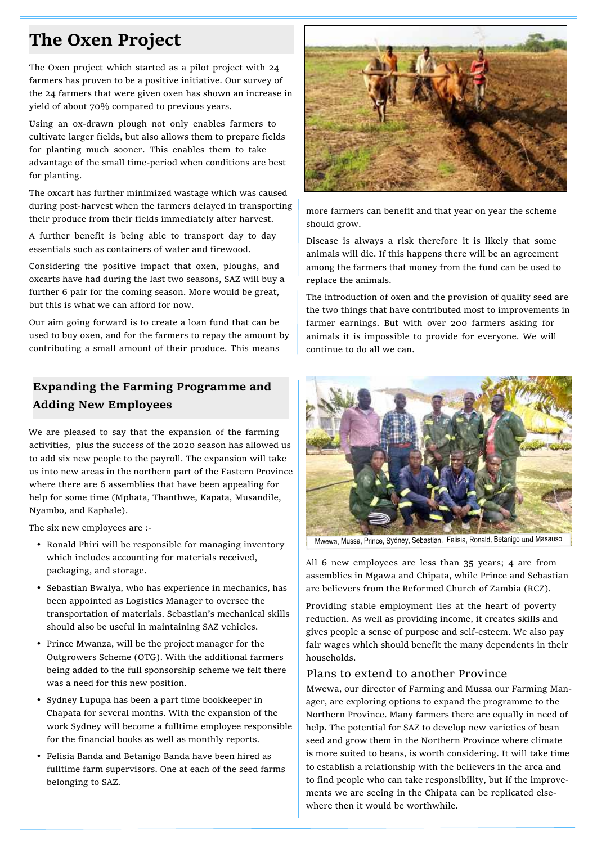# **The Oxen Project**

The Oxen project which started as a pilot project with 24 farmers has proven to be a positive initiative. Our survey of the 24 farmers that were given oxen has shown an increase in yield of about 70% compared to previous years.

Using an ox-drawn plough not only enables farmers to cultivate larger fields, but also allows them to prepare fields for planting much sooner. This enables them to take advantage of the small time-period when conditions are best for planting.

The oxcart has further minimized wastage which was caused during post-harvest when the farmers delayed in transporting their produce from their fields immediately after harvest.

A further benefit is being able to transport day to day essentials such as containers of water and firewood.

Considering the positive impact that oxen, ploughs, and oxcarts have had during the last two seasons, SAZ will buy a further 6 pair for the coming season. More would be great, but this is what we can afford for now.

Our aim going forward is to create a loan fund that can be used to buy oxen, and for the farmers to repay the amount by contributing a small amount of their produce. This means

## **Expanding the Farming Programme and Adding New Employees**

We are pleased to say that the expansion of the farming activities, plus the success of the 2020 season has allowed us to add six new people to the payroll. The expansion will take us into new areas in the northern part of the Eastern Province where there are 6 assemblies that have been appealing for help for some time (Mphata, Thanthwe, Kapata, Musandile, Nyambo, and Kaphale).

The six new employees are :-

- Ronald Phiri will be responsible for managing inventory which includes accounting for materials received, packaging, and storage.
- Sebastian Bwalya, who has experience in mechanics, has been appointed as Logistics Manager to oversee the transportation of materials. Sebastian's mechanical skills should also be useful in maintaining SAZ vehicles.
- Prince Mwanza, will be the project manager for the Outgrowers Scheme (OTG). With the additional farmers being added to the full sponsorship scheme we felt there was a need for this new position.
- Sydney Lupupa has been a part time bookkeeper in Chapata for several months. With the expansion of the work Sydney will become a fulltime employee responsible for the financial books as well as monthly reports.
- Felisia Banda and Betanigo Banda have been hired as fulltime farm supervisors. One at each of the seed farms belonging to SAZ.



more farmers can benefit and that year on year the scheme should grow.

Disease is always a risk therefore it is likely that some animals will die. If this happens there will be an agreement among the farmers that money from the fund can be used to replace the animals.

The introduction of oxen and the provision of quality seed are the two things that have contributed most to improvements in farmer earnings. But with over 200 farmers asking for animals it is impossible to provide for everyone. We will continue to do all we can.



Mwewa, Mussa, Prince, Sydney, Sebastian, Felisia, Ronald, Betanigo and Masauso

All 6 new employees are less than 35 years; 4 are from assemblies in Mgawa and Chipata, while Prince and Sebastian are believers from the Reformed Church of Zambia (RCZ).

Providing stable employment lies at the heart of poverty reduction. As well as providing income, it creates skills and gives people a sense of purpose and self-esteem. We also pay fair wages which should benefit the many dependents in their households.

#### Plans to extend to another Province

Mwewa, our director of Farming and Mussa our Farming Manager, are exploring options to expand the programme to the Northern Province. Many farmers there are equally in need of help. The potential for SAZ to develop new varieties of bean seed and grow them in the Northern Province where climate is more suited to beans, is worth considering. It will take time to establish a relationship with the believers in the area and to find people who can take responsibility, but if the improvements we are seeing in the Chipata can be replicated elsewhere then it would be worthwhile.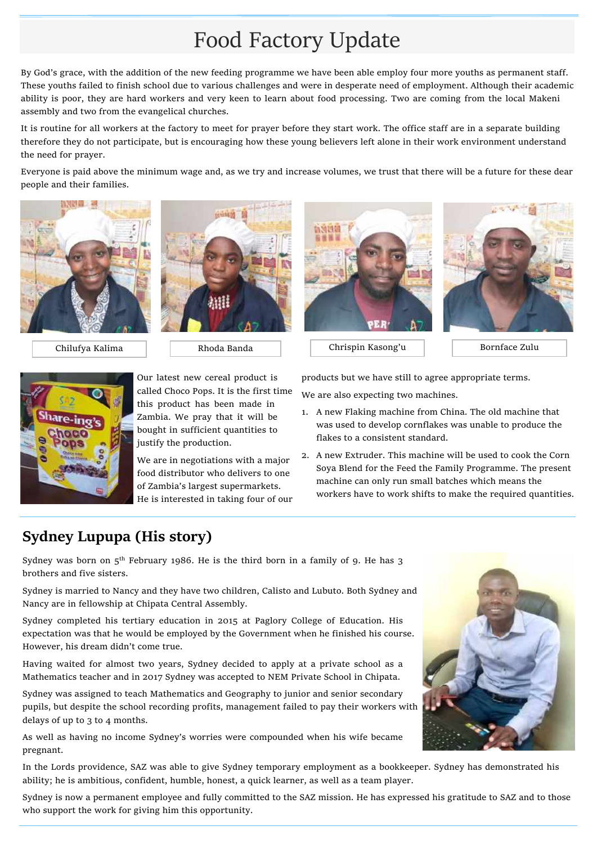# Food Factory Update

By God's grace, with the addition of the new feeding programme we have been able employ four more youths as permanent staff. These youths failed to finish school due to various challenges and were in desperate need of employment. Although their academic ability is poor, they are hard workers and very keen to learn about food processing. Two are coming from the local Makeni assembly and two from the evangelical churches.

It is routine for all workers at the factory to meet for prayer before they start work. The office staff are in a separate building therefore they do not participate, but is encouraging how these young believers left alone in their work environment understand the need for prayer.

Everyone is paid above the minimum wage and, as we try and increase volumes, we trust that there will be a future for these dear people and their families.









Chilufya Kalima  $\parallel$  Rhoda Banda  $\parallel$  Chrispin Kasong'u Bornface Zulu



Our latest new cereal product is called Choco Pops. It is the first time this product has been made in Zambia. We pray that it will be bought in sufficient quantities to justify the production.

We are in negotiations with a major food distributor who delivers to one of Zambia's largest supermarkets. He is interested in taking four of our products but we have still to agree appropriate terms.

We are also expecting two machines.

- 1. A new Flaking machine from China. The old machine that was used to develop cornflakes was unable to produce the flakes to a consistent standard.
- 2. A new Extruder. This machine will be used to cook the Corn Soya Blend for the Feed the Family Programme. The present machine can only run small batches which means the workers have to work shifts to make the required quantities.

# **Sydney Lupupa (His story)**

Sydney was born on  $5<sup>th</sup>$  February 1986. He is the third born in a family of 9. He has 3 brothers and five sisters.

Sydney is married to Nancy and they have two children, Calisto and Lubuto. Both Sydney and Nancy are in fellowship at Chipata Central Assembly.

Sydney completed his tertiary education in 2015 at Paglory College of Education. His expectation was that he would be employed by the Government when he finished his course. However, his dream didn't come true.

Having waited for almost two years, Sydney decided to apply at a private school as a Mathematics teacher and in 2017 Sydney was accepted to NEM Private School in Chipata.

Sydney was assigned to teach Mathematics and Geography to junior and senior secondary pupils, but despite the school recording profits, management failed to pay their workers with delays of up to 3 to 4 months.

As well as having no income Sydney's worries were compounded when his wife became pregnant.

In the Lords providence, SAZ was able to give Sydney temporary employment as a bookkeeper. Sydney has demonstrated his ability; he is ambitious, confident, humble, honest, a quick learner, as well as a team player.

Sydney is now a permanent employee and fully committed to the SAZ mission. He has expressed his gratitude to SAZ and to those who support the work for giving him this opportunity.